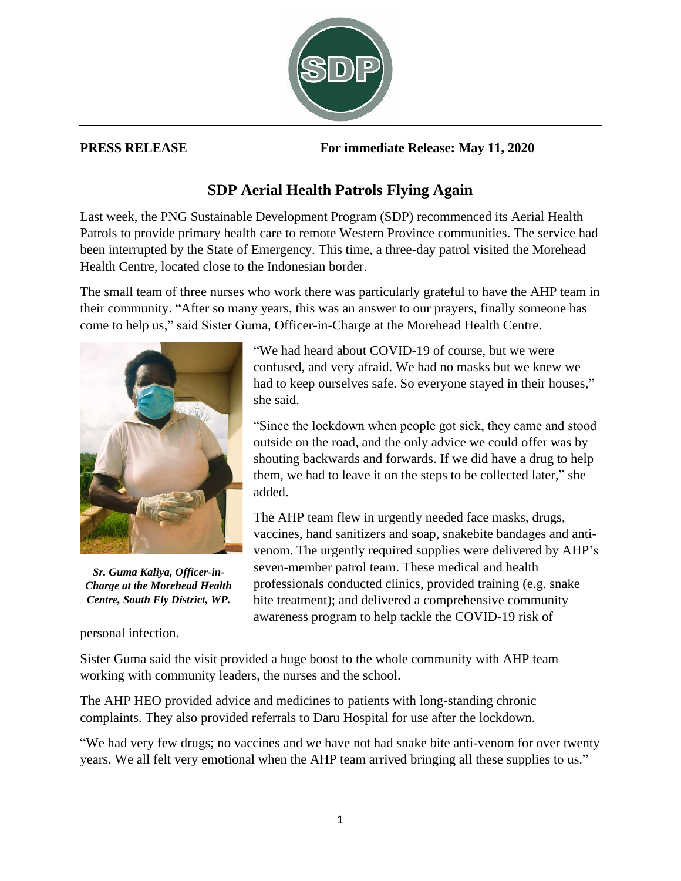

**PRESS RELEASE For immediate Release: May 11, 2020**

## **SDP Aerial Health Patrols Flying Again**

Last week, the PNG Sustainable Development Program (SDP) recommenced its Aerial Health Patrols to provide primary health care to remote Western Province communities. The service had been interrupted by the State of Emergency. This time, a three-day patrol visited the Morehead Health Centre, located close to the Indonesian border.

The small team of three nurses who work there was particularly grateful to have the AHP team in their community. "After so many years, this was an answer to our prayers, finally someone has come to help us," said Sister Guma, Officer-in-Charge at the Morehead Health Centre.



*Sr. Guma Kaliya, Officer-in-Charge at the Morehead Health Centre, South Fly District, WP.*

personal infection.

"We had heard about COVID-19 of course, but we were confused, and very afraid. We had no masks but we knew we had to keep ourselves safe. So everyone stayed in their houses," she said.

"Since the lockdown when people got sick, they came and stood outside on the road, and the only advice we could offer was by shouting backwards and forwards. If we did have a drug to help them, we had to leave it on the steps to be collected later," she added.

The AHP team flew in urgently needed face masks, drugs, vaccines, hand sanitizers and soap, snakebite bandages and antivenom. The urgently required supplies were delivered by AHP's seven-member patrol team. These medical and health professionals conducted clinics, provided training (e.g. snake bite treatment); and delivered a comprehensive community awareness program to help tackle the COVID-19 risk of

Sister Guma said the visit provided a huge boost to the whole community with AHP team working with community leaders, the nurses and the school.

The AHP HEO provided advice and medicines to patients with long-standing chronic complaints. They also provided referrals to Daru Hospital for use after the lockdown.

"We had very few drugs; no vaccines and we have not had snake bite anti-venom for over twenty years. We all felt very emotional when the AHP team arrived bringing all these supplies to us."